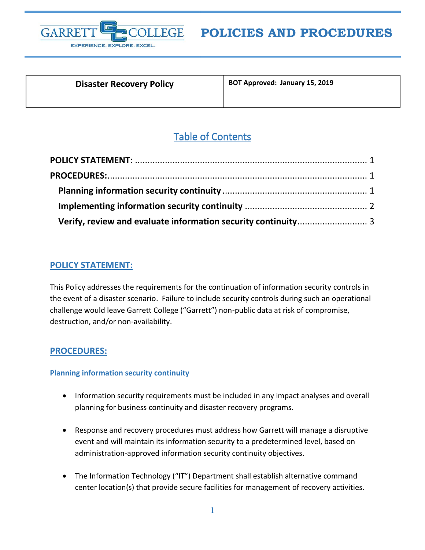

# **POLICIES AND PROCEDURES**

| <b>Disaster Recovery Policy</b> |  |
|---------------------------------|--|
|---------------------------------|--|

**Disaster Recovery Policy BOT Approved: January 15, 2019**

## Table of Contents

## <span id="page-0-0"></span>**POLICY STATEMENT:**

This Policy addresses the requirements for the continuation of information security controls in the event of a disaster scenario. Failure to include security controls during such an operational challenge would leave Garrett College ("Garrett") non-public data at risk of compromise, destruction, and/or non-availability.

### <span id="page-0-1"></span>**PROCEDURES:**

#### <span id="page-0-2"></span>**Planning information security continuity**

- Information security requirements must be included in any impact analyses and overall planning for business continuity and disaster recovery programs.
- Response and recovery procedures must address how Garrett will manage a disruptive event and will maintain its information security to a predetermined level, based on administration-approved information security continuity objectives.
- The Information Technology ("IT") Department shall establish alternative command center location(s) that provide secure facilities for management of recovery activities.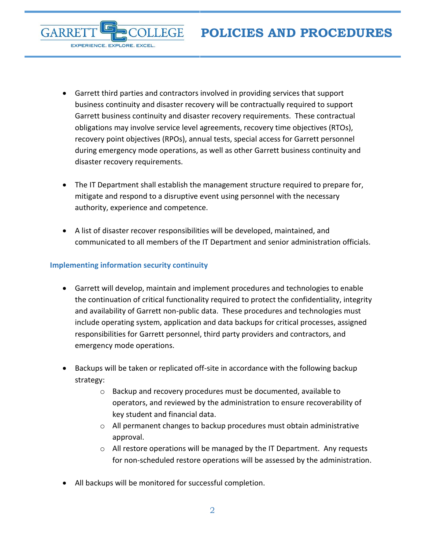- Garrett third parties and contractors involved in providing services that support business continuity and disaster recovery will be contractually required to support Garrett business continuity and disaster recovery requirements. These contractual obligations may involve service level agreements, recovery time objectives (RTOs), recovery point objectives (RPOs), annual tests, special access for Garrett personnel during emergency mode operations, as well as other Garrett business continuity and disaster recovery requirements.
- The IT Department shall establish the management structure required to prepare for, mitigate and respond to a disruptive event using personnel with the necessary authority, experience and competence.
- A list of disaster recover responsibilities will be developed, maintained, and communicated to all members of the IT Department and senior administration officials.

#### <span id="page-1-0"></span>**Implementing information security continuity**

**GARRE** 

EXPERIENCE. EXPLORE. EXCEL.

- Garrett will develop, maintain and implement procedures and technologies to enable the continuation of critical functionality required to protect the confidentiality, integrity and availability of Garrett non-public data. These procedures and technologies must include operating system, application and data backups for critical processes, assigned responsibilities for Garrett personnel, third party providers and contractors, and emergency mode operations.
- Backups will be taken or replicated off-site in accordance with the following backup strategy:
	- o Backup and recovery procedures must be documented, available to operators, and reviewed by the administration to ensure recoverability of key student and financial data.
	- o All permanent changes to backup procedures must obtain administrative approval.
	- o All restore operations will be managed by the IT Department. Any requests for non-scheduled restore operations will be assessed by the administration.
- All backups will be monitored for successful completion.